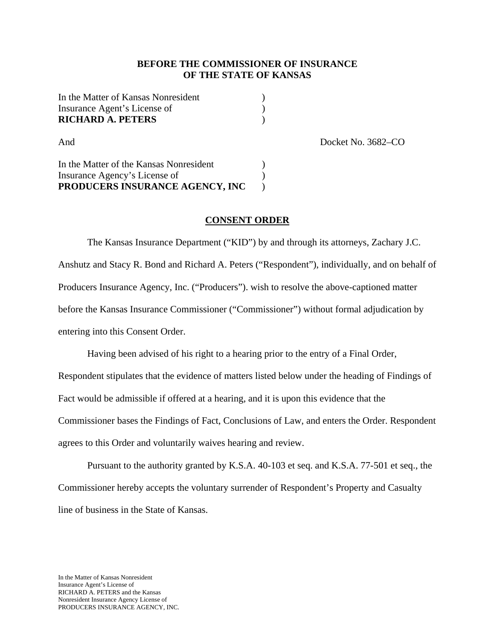#### **BEFORE THE COMMISSIONER OF INSURANCE OF THE STATE OF KANSAS**

| In the Matter of Kansas Nonresident |  |
|-------------------------------------|--|
| Insurance Agent's License of        |  |
| <b>RICHARD A. PETERS</b>            |  |

And Docket No. 3682–CO

In the Matter of the Kansas Nonresident ) Insurance Agency's License of  $\qquad \qquad$  ) **PRODUCERS INSURANCE AGENCY, INC** )

## **CONSENT ORDER**

 The Kansas Insurance Department ("KID") by and through its attorneys, Zachary J.C. Anshutz and Stacy R. Bond and Richard A. Peters ("Respondent"), individually, and on behalf of Producers Insurance Agency, Inc. ("Producers"). wish to resolve the above-captioned matter before the Kansas Insurance Commissioner ("Commissioner") without formal adjudication by entering into this Consent Order.

 Having been advised of his right to a hearing prior to the entry of a Final Order, Respondent stipulates that the evidence of matters listed below under the heading of Findings of Fact would be admissible if offered at a hearing, and it is upon this evidence that the Commissioner bases the Findings of Fact, Conclusions of Law, and enters the Order. Respondent agrees to this Order and voluntarily waives hearing and review.

 Pursuant to the authority granted by K.S.A. 40-103 et seq. and K.S.A. 77-501 et seq., the Commissioner hereby accepts the voluntary surrender of Respondent's Property and Casualty line of business in the State of Kansas.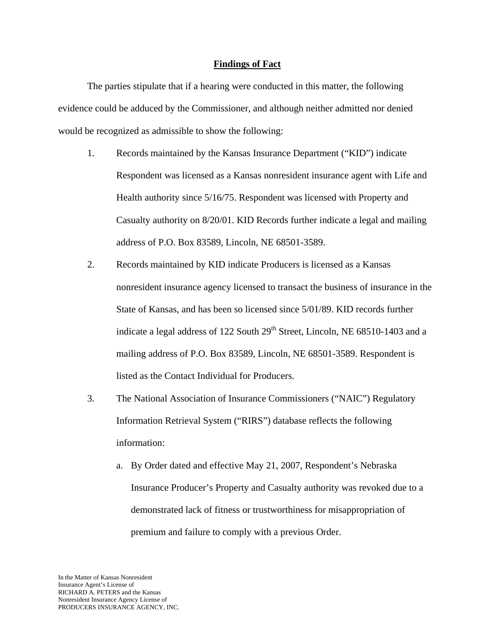#### **Findings of Fact**

The parties stipulate that if a hearing were conducted in this matter, the following evidence could be adduced by the Commissioner, and although neither admitted nor denied would be recognized as admissible to show the following:

- 1. Records maintained by the Kansas Insurance Department ("KID") indicate Respondent was licensed as a Kansas nonresident insurance agent with Life and Health authority since 5/16/75. Respondent was licensed with Property and Casualty authority on 8/20/01. KID Records further indicate a legal and mailing address of P.O. Box 83589, Lincoln, NE 68501-3589.
- 2. Records maintained by KID indicate Producers is licensed as a Kansas nonresident insurance agency licensed to transact the business of insurance in the State of Kansas, and has been so licensed since 5/01/89. KID records further indicate a legal address of 122 South 29<sup>th</sup> Street, Lincoln, NE 68510-1403 and a mailing address of P.O. Box 83589, Lincoln, NE 68501-3589. Respondent is listed as the Contact Individual for Producers.
- 3. The National Association of Insurance Commissioners ("NAIC") Regulatory Information Retrieval System ("RIRS") database reflects the following information:
	- a. By Order dated and effective May 21, 2007, Respondent's Nebraska Insurance Producer's Property and Casualty authority was revoked due to a demonstrated lack of fitness or trustworthiness for misappropriation of premium and failure to comply with a previous Order.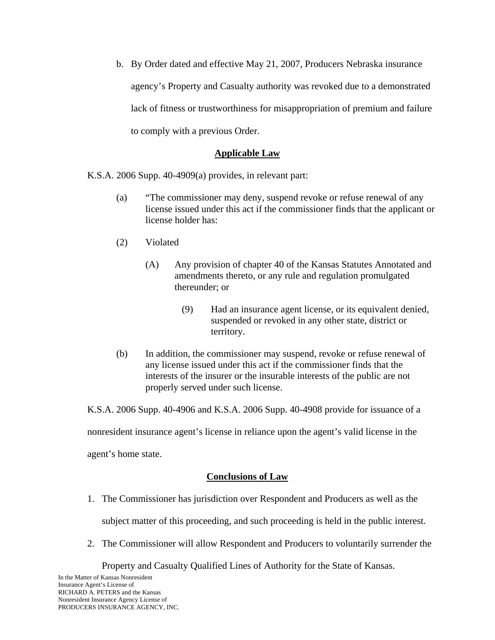b. By Order dated and effective May 21, 2007, Producers Nebraska insurance agency's Property and Casualty authority was revoked due to a demonstrated lack of fitness or trustworthiness for misappropriation of premium and failure to comply with a previous Order.

### **Applicable Law**

K.S.A. 2006 Supp. 40-4909(a) provides, in relevant part:

- (a) "The commissioner may deny, suspend revoke or refuse renewal of any license issued under this act if the commissioner finds that the applicant or license holder has:
- (2) Violated
	- (A) Any provision of chapter 40 of the Kansas Statutes Annotated and amendments thereto, or any rule and regulation promulgated thereunder; or
		- (9) Had an insurance agent license, or its equivalent denied, suspended or revoked in any other state, district or territory.
- (b) In addition, the commissioner may suspend, revoke or refuse renewal of any license issued under this act if the commissioner finds that the interests of the insurer or the insurable interests of the public are not properly served under such license.

K.S.A. 2006 Supp. 40-4906 and K.S.A. 2006 Supp. 40-4908 provide for issuance of a

nonresident insurance agent's license in reliance upon the agent's valid license in the

agent's home state.

## **Conclusions of Law**

1. The Commissioner has jurisdiction over Respondent and Producers as well as the

subject matter of this proceeding, and such proceeding is held in the public interest.

2. The Commissioner will allow Respondent and Producers to voluntarily surrender the

Property and Casualty Qualified Lines of Authority for the State of Kansas.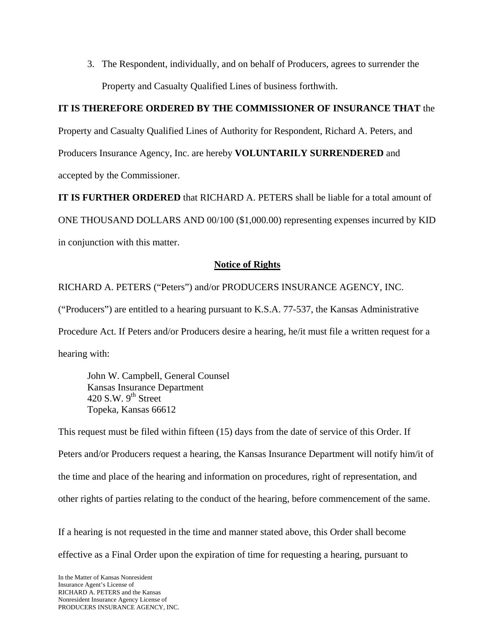3. The Respondent, individually, and on behalf of Producers, agrees to surrender the Property and Casualty Qualified Lines of business forthwith.

# **IT IS THEREFORE ORDERED BY THE COMMISSIONER OF INSURANCE THAT** the

Property and Casualty Qualified Lines of Authority for Respondent, Richard A. Peters, and Producers Insurance Agency, Inc. are hereby **VOLUNTARILY SURRENDERED** and accepted by the Commissioner.

**IT IS FURTHER ORDERED** that RICHARD A. PETERS shall be liable for a total amount of ONE THOUSAND DOLLARS AND 00/100 (\$1,000.00) representing expenses incurred by KID in conjunction with this matter.

# **Notice of Rights**

RICHARD A. PETERS ("Peters") and/or PRODUCERS INSURANCE AGENCY, INC.

("Producers") are entitled to a hearing pursuant to K.S.A. 77-537, the Kansas Administrative

Procedure Act. If Peters and/or Producers desire a hearing, he/it must file a written request for a hearing with:

 John W. Campbell, General Counsel Kansas Insurance Department 420 S.W.  $9<sup>th</sup>$  Street Topeka, Kansas 66612

This request must be filed within fifteen (15) days from the date of service of this Order. If Peters and/or Producers request a hearing, the Kansas Insurance Department will notify him/it of the time and place of the hearing and information on procedures, right of representation, and other rights of parties relating to the conduct of the hearing, before commencement of the same.

If a hearing is not requested in the time and manner stated above, this Order shall become effective as a Final Order upon the expiration of time for requesting a hearing, pursuant to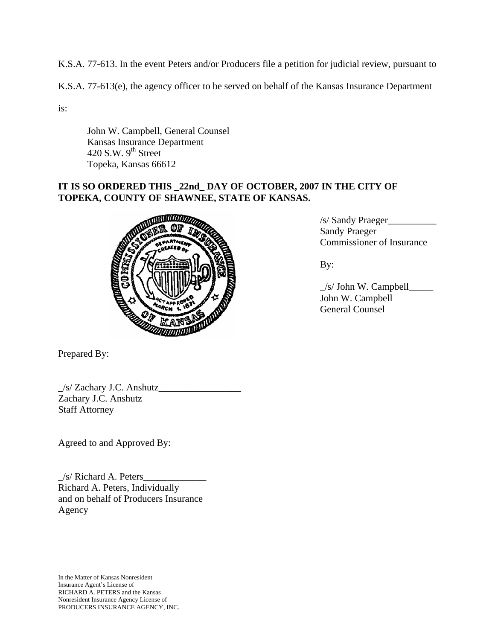K.S.A. 77-613. In the event Peters and/or Producers file a petition for judicial review, pursuant to

K.S.A. 77-613(e), the agency officer to be served on behalf of the Kansas Insurance Department

is:

 John W. Campbell, General Counsel Kansas Insurance Department 420 S.W.  $9^{th}$  Street Topeka, Kansas 66612

# **IT IS SO ORDERED THIS \_22nd\_ DAY OF OCTOBER, 2007 IN THE CITY OF TOPEKA, COUNTY OF SHAWNEE, STATE OF KANSAS.**



Prepared By:

\_/s/ Zachary J.C. Anshutz\_\_\_\_\_\_\_\_\_\_\_\_\_\_\_\_\_ Zachary J.C. Anshutz Staff Attorney

Agreed to and Approved By:

 $\angle$ s/ Richard A. Peters $\angle$ Richard A. Peters, Individually and on behalf of Producers Insurance Agency

In the Matter of Kansas Nonresident Insurance Agent's License of RICHARD A. PETERS and the Kansas Nonresident Insurance Agency License of PRODUCERS INSURANCE AGENCY, INC. /s/ Sandy Praeger\_\_\_\_\_\_\_\_\_\_ Sandy Praeger Commissioner of Insurance

 $\angle$ s/ John W. Campbell $\angle$  John W. Campbell General Counsel